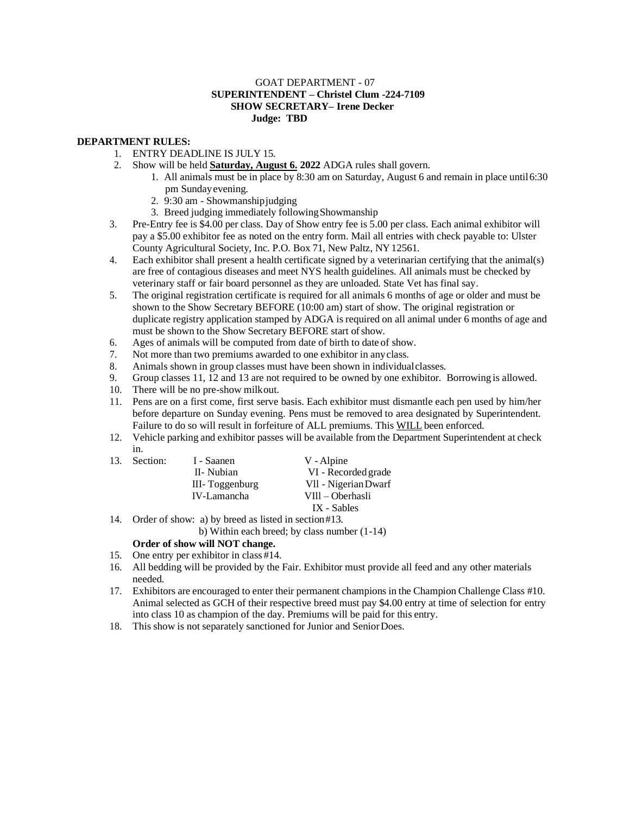## GOAT DEPARTMENT - 07 **SUPERINTENDENT – Christel Clum -224-7109 SHOW SECRETARY– Irene Decker Judge: TBD**

## **DEPARTMENT RULES:**

13. Section:

- 1. ENTRY DEADLINE IS JULY 15.
- 2. Show will be held **Saturday, August 6. 2022** ADGA rules shall govern.
	- 1. All animals must be in place by 8:30 am on Saturday, August 6 and remain in place until6:30 pm Sundayevening.
	- 2. 9:30 am Showmanshipjudging
	- 3. Breed judging immediately followingShowmanship
- 3. Pre-Entry fee is \$4.00 per class. Day of Show entry fee is 5.00 per class. Each animal exhibitor will pay a \$5.00 exhibitor fee as noted on the entry form. Mail all entries with check payable to: Ulster County Agricultural Society, Inc. P.O. Box 71, New Paltz, NY12561.
- 4. Each exhibitor shall present a health certificate signed by a veterinarian certifying that the animal(s) are free of contagious diseases and meet NYS health guidelines. All animals must be checked by veterinary staff or fair board personnel as they are unloaded. State Vet has final say.
- 5. The original registration certificate is required for all animals 6 months of age or older and must be shown to the Show Secretary BEFORE (10:00 am) start of show. The original registration or duplicate registry application stamped by ADGA is required on all animal under 6 months of age and must be shown to the Show Secretary BEFORE start of show.
- 6. Ages of animals will be computed from date of birth to date of show.
- 7. Not more than two premiums awarded to one exhibitor in anyclass.
- 8. Animals shown in group classes must have been shown in individualclasses.
- 9. Group classes 11, 12 and 13 are not required to be owned by one exhibitor. Borrowing is allowed.
- 10. There will be no pre-show milkout.
- 11. Pens are on a first come, first serve basis. Each exhibitor must dismantle each pen used by him/her before departure on Sunday evening. Pens must be removed to area designated by Superintendent. Failure to do so will result in forfeiture of ALL premiums. This WILL been enforced.
- 12. Vehicle parking and exhibitor passes will be available from the Department Superintendent at check in.

| I - Saanen     | V - Alpine           |
|----------------|----------------------|
| II- Nubian     | VI - Recorded grade  |
| III-Toggenburg | Vll - Nigerian Dwarf |
| IV-Lamancha    | VIII – Oberhasli     |
|                | IX - Sables          |

- 14. Order of show: a) by breed as listed in section#13.
	- b) Within each breed; by class number (1-14)

## **Order of show will NOT change.**

- 15. One entry per exhibitor in class #14.
- 16. All bedding will be provided by the Fair. Exhibitor must provide all feed and any other materials needed.
- 17. Exhibitors are encouraged to enter their permanent champions in the Champion Challenge Class #10. Animal selected as GCH of their respective breed must pay \$4.00 entry at time of selection for entry into class 10 as champion of the day. Premiums will be paid for this entry.
- 18. This show is not separately sanctioned for Junior and SeniorDoes.